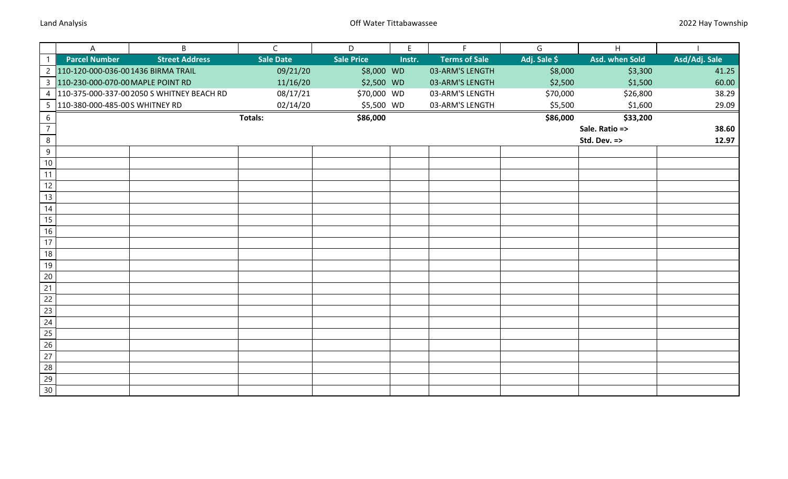|                 | A                                   | B                                          | $\mathsf{C}$     | D                 | E      | F                    | G            | H              |               |
|-----------------|-------------------------------------|--------------------------------------------|------------------|-------------------|--------|----------------------|--------------|----------------|---------------|
|                 | <b>Parcel Number</b>                | <b>Street Address</b>                      | <b>Sale Date</b> | <b>Sale Price</b> | Instr. | <b>Terms of Sale</b> | Adj. Sale \$ | Asd. when Sold | Asd/Adj. Sale |
| $\overline{2}$  | 110-120-000-036-00 1436 BIRMA TRAIL |                                            | 09/21/20         | \$8,000 WD        |        | 03-ARM'S LENGTH      | \$8,000      | \$3,300        | 41.25         |
|                 | 3 110-230-000-070-00 MAPLE POINT RD |                                            | 11/16/20         | \$2,500 WD        |        | 03-ARM'S LENGTH      | \$2,500      | \$1,500        | 60.00         |
| $\overline{4}$  |                                     | 110-375-000-337-00 2050 S WHITNEY BEACH RD | 08/17/21         | \$70,000 WD       |        | 03-ARM'S LENGTH      | \$70,000     | \$26,800       | 38.29         |
| 5 <sub>1</sub>  | 110-380-000-485-00 S WHITNEY RD     |                                            | 02/14/20         | \$5,500 WD        |        | 03-ARM'S LENGTH      | \$5,500      | \$1,600        | 29.09         |
| 6               |                                     |                                            | <b>Totals:</b>   | \$86,000          |        |                      | \$86,000     | \$33,200       |               |
| $\overline{7}$  |                                     |                                            |                  |                   |        |                      |              | Sale. Ratio => | 38.60         |
| $\overline{8}$  |                                     |                                            |                  |                   |        |                      |              | Std. Dev. =>   | 12.97         |
| $9\,$           |                                     |                                            |                  |                   |        |                      |              |                |               |
| $10$            |                                     |                                            |                  |                   |        |                      |              |                |               |
| 11              |                                     |                                            |                  |                   |        |                      |              |                |               |
| 12              |                                     |                                            |                  |                   |        |                      |              |                |               |
| 13              |                                     |                                            |                  |                   |        |                      |              |                |               |
| 14              |                                     |                                            |                  |                   |        |                      |              |                |               |
| 15              |                                     |                                            |                  |                   |        |                      |              |                |               |
| $16$            |                                     |                                            |                  |                   |        |                      |              |                |               |
| 17              |                                     |                                            |                  |                   |        |                      |              |                |               |
| 18              |                                     |                                            |                  |                   |        |                      |              |                |               |
| 19              |                                     |                                            |                  |                   |        |                      |              |                |               |
| 20              |                                     |                                            |                  |                   |        |                      |              |                |               |
| 21              |                                     |                                            |                  |                   |        |                      |              |                |               |
| 22              |                                     |                                            |                  |                   |        |                      |              |                |               |
| 23              |                                     |                                            |                  |                   |        |                      |              |                |               |
| 24              |                                     |                                            |                  |                   |        |                      |              |                |               |
| 25              |                                     |                                            |                  |                   |        |                      |              |                |               |
| 26              |                                     |                                            |                  |                   |        |                      |              |                |               |
| 27              |                                     |                                            |                  |                   |        |                      |              |                |               |
| 28              |                                     |                                            |                  |                   |        |                      |              |                |               |
| $\overline{29}$ |                                     |                                            |                  |                   |        |                      |              |                |               |
| 30              |                                     |                                            |                  |                   |        |                      |              |                |               |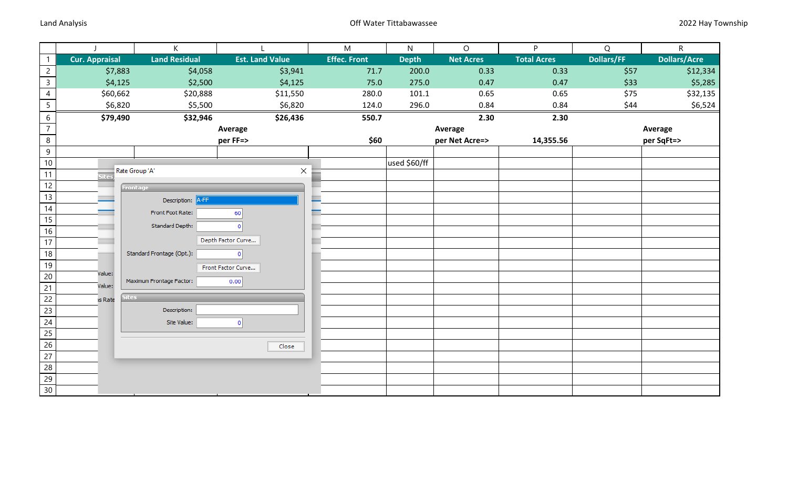|                       | K.                          |                                                                                                                                                       | ${\sf M}$                                                                                           | N            | $\circ$          | P                  | Q                 | ${\sf R}$           |
|-----------------------|-----------------------------|-------------------------------------------------------------------------------------------------------------------------------------------------------|-----------------------------------------------------------------------------------------------------|--------------|------------------|--------------------|-------------------|---------------------|
| <b>Cur. Appraisal</b> | <b>Land Residual</b>        | <b>Est. Land Value</b>                                                                                                                                | <b>Effec. Front</b>                                                                                 | <b>Depth</b> | <b>Net Acres</b> | <b>Total Acres</b> | <b>Dollars/FF</b> | <b>Dollars/Acre</b> |
| \$7,883               | \$4,058                     | \$3,941                                                                                                                                               | 71.7                                                                                                | 200.0        | 0.33             | 0.33               | \$57              | \$12,334            |
| \$4,125               | \$2,500                     | \$4,125                                                                                                                                               | 75.0                                                                                                | 275.0        | 0.47             | 0.47               | \$33              | \$5,285             |
| \$60,662              | \$20,888                    | \$11,550                                                                                                                                              | 280.0                                                                                               | 101.1        | 0.65             | 0.65               | \$75              | \$32,135            |
| \$6,820               | \$5,500                     | \$6,820                                                                                                                                               | 124.0                                                                                               | 296.0        | 0.84             | 0.84               | \$44              | \$6,524             |
| \$79,490              | \$32,946                    | \$26,436                                                                                                                                              | 550.7                                                                                               |              | 2.30             | 2.30               |                   |                     |
|                       |                             |                                                                                                                                                       |                                                                                                     |              | Average          |                    |                   | Average             |
|                       |                             |                                                                                                                                                       | \$60                                                                                                |              | per Net Acre=>   | 14,355.56          |                   | per SqFt=>          |
|                       |                             |                                                                                                                                                       |                                                                                                     |              |                  |                    |                   |                     |
|                       |                             |                                                                                                                                                       |                                                                                                     |              |                  |                    |                   |                     |
| <b>Site</b> s         |                             |                                                                                                                                                       |                                                                                                     |              |                  |                    |                   |                     |
|                       |                             |                                                                                                                                                       |                                                                                                     |              |                  |                    |                   |                     |
|                       | Description: A-FF           |                                                                                                                                                       |                                                                                                     |              |                  |                    |                   |                     |
|                       | Front Foot Rate:            | 60                                                                                                                                                    |                                                                                                     |              |                  |                    |                   |                     |
|                       |                             |                                                                                                                                                       |                                                                                                     |              |                  |                    |                   |                     |
|                       |                             |                                                                                                                                                       |                                                                                                     |              |                  |                    |                   |                     |
|                       |                             |                                                                                                                                                       |                                                                                                     |              |                  |                    |                   |                     |
|                       |                             |                                                                                                                                                       |                                                                                                     |              |                  |                    |                   |                     |
|                       |                             |                                                                                                                                                       |                                                                                                     |              |                  |                    |                   |                     |
|                       |                             | 0.00                                                                                                                                                  |                                                                                                     |              |                  |                    |                   |                     |
|                       |                             |                                                                                                                                                       |                                                                                                     |              |                  |                    |                   |                     |
|                       |                             |                                                                                                                                                       |                                                                                                     |              |                  |                    |                   |                     |
|                       |                             |                                                                                                                                                       |                                                                                                     |              |                  |                    |                   |                     |
|                       |                             |                                                                                                                                                       |                                                                                                     |              |                  |                    |                   |                     |
|                       |                             |                                                                                                                                                       |                                                                                                     |              |                  |                    |                   |                     |
|                       |                             |                                                                                                                                                       |                                                                                                     |              |                  |                    |                   |                     |
|                       |                             |                                                                                                                                                       |                                                                                                     |              |                  |                    |                   |                     |
|                       |                             |                                                                                                                                                       |                                                                                                     |              |                  |                    |                   |                     |
|                       |                             |                                                                                                                                                       |                                                                                                     |              |                  |                    |                   |                     |
|                       | Value:<br>Value:<br>is Rate | Rate Group 'A'<br>Frontage<br>Standard Depth:<br>Standard Frontage (Opt.):<br>Maximum Frontage Factor:<br><b>Sites</b><br>Description:<br>Site Value: | Average<br>per FF=><br>×<br>Depth Factor Curve<br>٥Ι<br>Front Factor Curve<br>$\mathbf{0}$<br>Close |              | used \$60/ff     |                    |                   |                     |